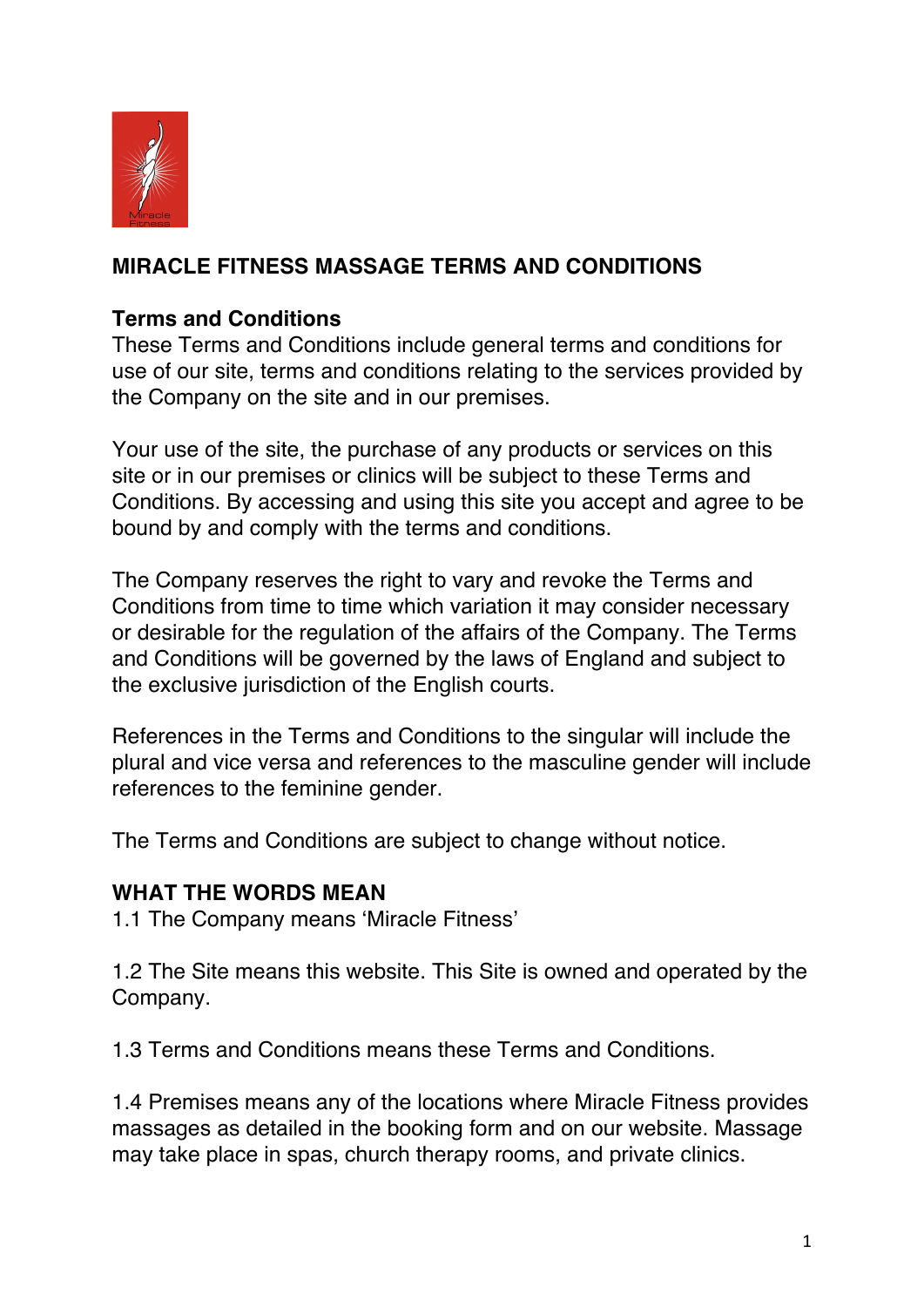

## **MIRACLE FITNESS MASSAGE TERMS AND CONDITIONS**

### **Terms and Conditions**

These Terms and Conditions include general terms and conditions for use of our site, terms and conditions relating to the services provided by the Company on the site and in our premises.

Your use of the site, the purchase of any products or services on this site or in our premises or clinics will be subject to these Terms and Conditions. By accessing and using this site you accept and agree to be bound by and comply with the terms and conditions.

The Company reserves the right to vary and revoke the Terms and Conditions from time to time which variation it may consider necessary or desirable for the regulation of the affairs of the Company. The Terms and Conditions will be governed by the laws of England and subject to the exclusive jurisdiction of the English courts.

References in the Terms and Conditions to the singular will include the plural and vice versa and references to the masculine gender will include references to the feminine gender.

The Terms and Conditions are subject to change without notice.

#### **WHAT THE WORDS MEAN**

1.1 The Company means 'Miracle Fitness'

1.2 The Site means this website. This Site is owned and operated by the Company.

1.3 Terms and Conditions means these Terms and Conditions.

1.4 Premises means any of the locations where Miracle Fitness provides massages as detailed in the booking form and on our website. Massage may take place in spas, church therapy rooms, and private clinics.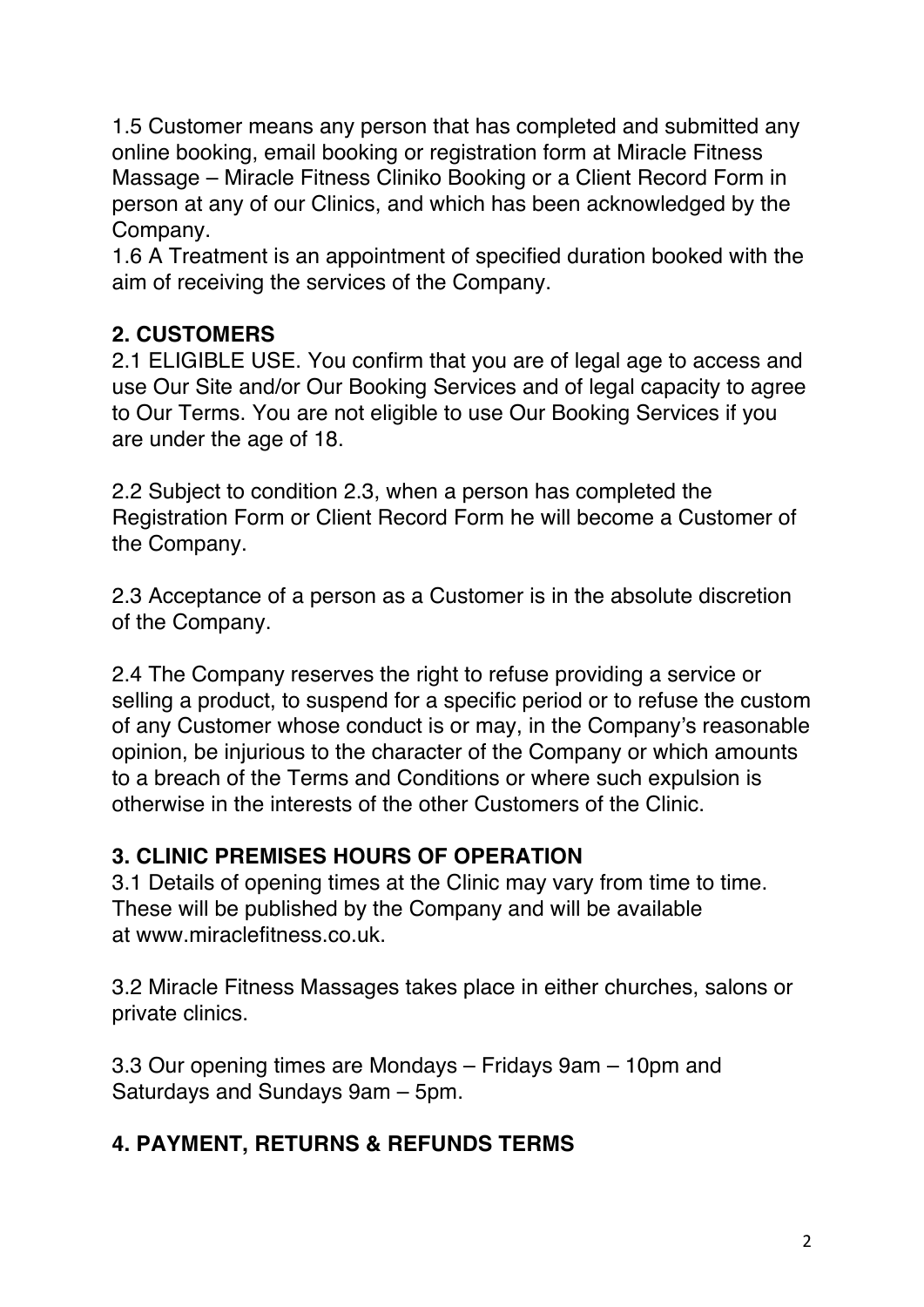1.5 Customer means any person that has completed and submitted any online booking, email booking or registration form at Miracle Fitness Massage – Miracle Fitness Cliniko Booking or a Client Record Form in person at any of our Clinics, and which has been acknowledged by the Company.

1.6 A Treatment is an appointment of specified duration booked with the aim of receiving the services of the Company.

## **2. CUSTOMERS**

2.1 ELIGIBLE USE. You confirm that you are of legal age to access and use Our Site and/or Our Booking Services and of legal capacity to agree to Our Terms. You are not eligible to use Our Booking Services if you are under the age of 18.

2.2 Subject to condition 2.3, when a person has completed the Registration Form or Client Record Form he will become a Customer of the Company.

2.3 Acceptance of a person as a Customer is in the absolute discretion of the Company.

2.4 The Company reserves the right to refuse providing a service or selling a product, to suspend for a specific period or to refuse the custom of any Customer whose conduct is or may, in the Company's reasonable opinion, be injurious to the character of the Company or which amounts to a breach of the Terms and Conditions or where such expulsion is otherwise in the interests of the other Customers of the Clinic.

## **3. CLINIC PREMISES HOURS OF OPERATION**

3.1 Details of opening times at the Clinic may vary from time to time. These will be published by the Company and will be available at www.miraclefitness.co.uk.

3.2 Miracle Fitness Massages takes place in either churches, salons or private clinics.

3.3 Our opening times are Mondays – Fridays 9am – 10pm and Saturdays and Sundays 9am – 5pm.

#### **4. PAYMENT, RETURNS & REFUNDS TERMS**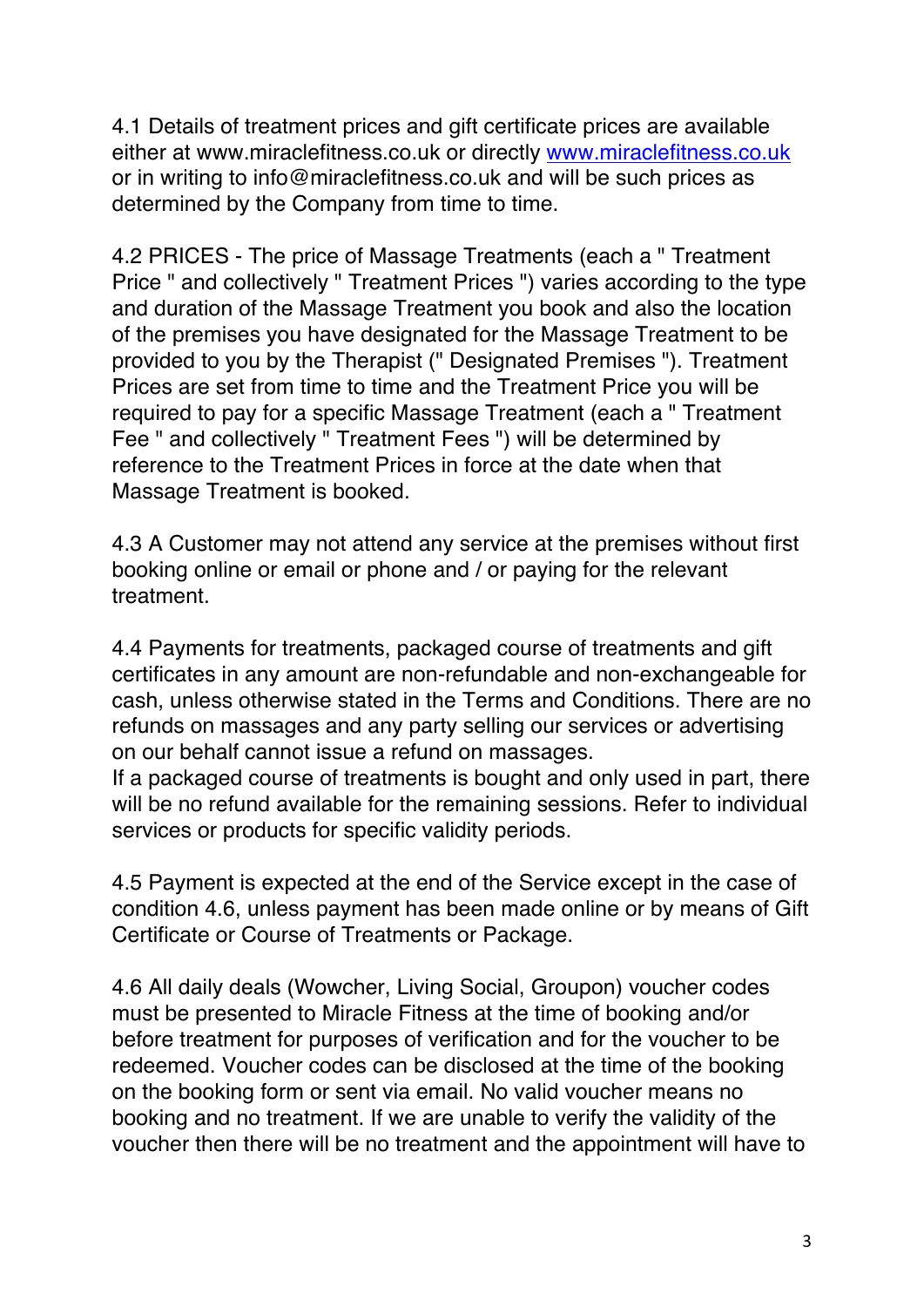4.1 Details of treatment prices and gift certificate prices are available either at www.miraclefitness.co.uk or directly www.miraclefitness.co.uk or in writing to info@miraclefitness.co.uk and will be such prices as determined by the Company from time to time.

4.2 PRICES - The price of Massage Treatments (each a " Treatment Price " and collectively " Treatment Prices ") varies according to the type and duration of the Massage Treatment you book and also the location of the premises you have designated for the Massage Treatment to be provided to you by the Therapist (" Designated Premises "). Treatment Prices are set from time to time and the Treatment Price you will be required to pay for a specific Massage Treatment (each a " Treatment Fee " and collectively " Treatment Fees ") will be determined by reference to the Treatment Prices in force at the date when that Massage Treatment is booked.

4.3 A Customer may not attend any service at the premises without first booking online or email or phone and / or paying for the relevant treatment.

4.4 Payments for treatments, packaged course of treatments and gift certificates in any amount are non-refundable and non-exchangeable for cash, unless otherwise stated in the Terms and Conditions. There are no refunds on massages and any party selling our services or advertising on our behalf cannot issue a refund on massages.

If a packaged course of treatments is bought and only used in part, there will be no refund available for the remaining sessions. Refer to individual services or products for specific validity periods.

4.5 Payment is expected at the end of the Service except in the case of condition 4.6, unless payment has been made online or by means of Gift Certificate or Course of Treatments or Package.

4.6 All daily deals (Wowcher, Living Social, Groupon) voucher codes must be presented to Miracle Fitness at the time of booking and/or before treatment for purposes of verification and for the voucher to be redeemed. Voucher codes can be disclosed at the time of the booking on the booking form or sent via email. No valid voucher means no booking and no treatment. If we are unable to verify the validity of the voucher then there will be no treatment and the appointment will have to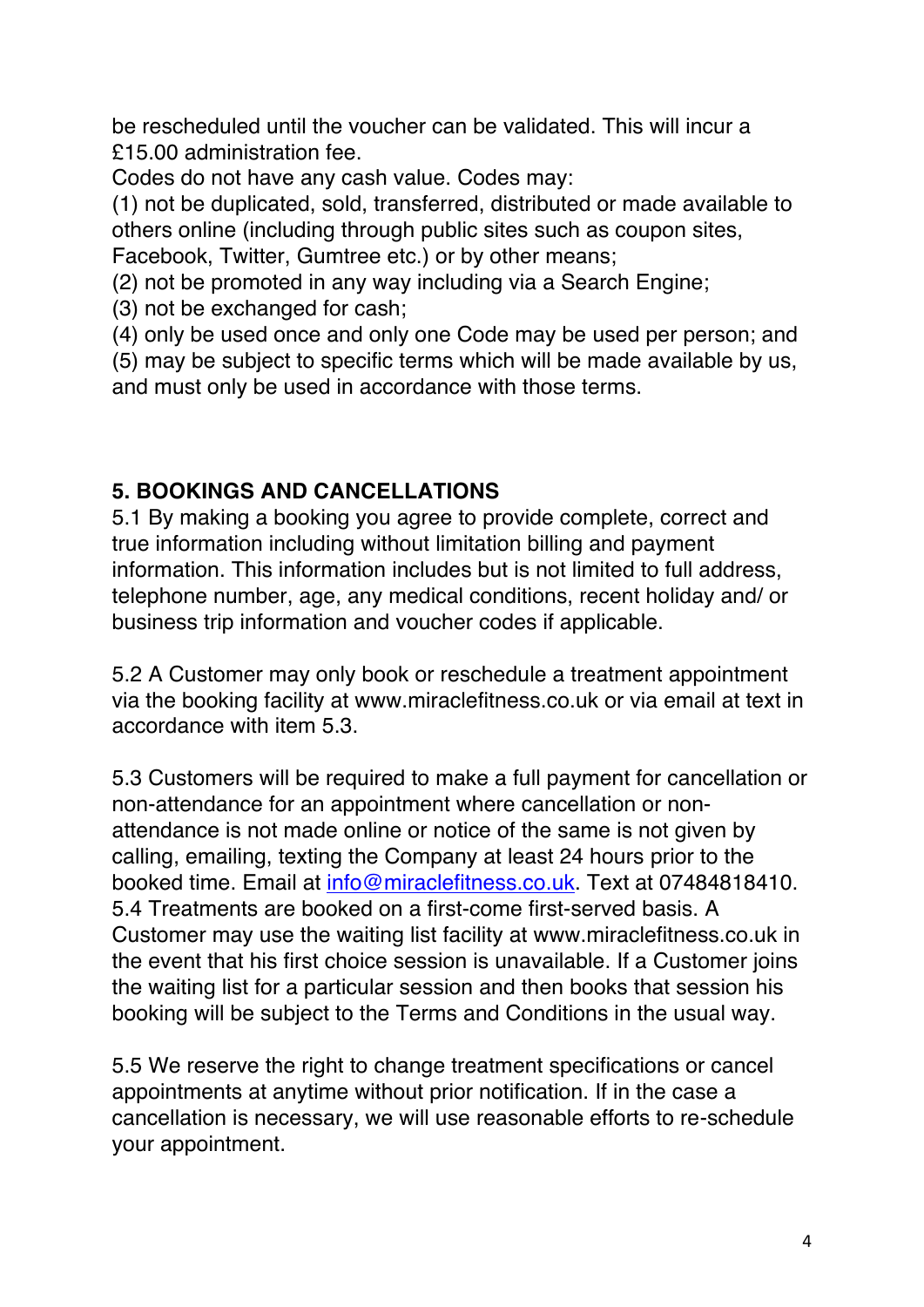be rescheduled until the voucher can be validated. This will incur a £15.00 administration fee.

Codes do not have any cash value. Codes may:

(1) not be duplicated, sold, transferred, distributed or made available to others online (including through public sites such as coupon sites, Facebook, Twitter, Gumtree etc.) or by other means;

(2) not be promoted in any way including via a Search Engine;

(3) not be exchanged for cash;

(4) only be used once and only one Code may be used per person; and

(5) may be subject to specific terms which will be made available by us, and must only be used in accordance with those terms.

#### **5. BOOKINGS AND CANCELLATIONS**

5.1 By making a booking you agree to provide complete, correct and true information including without limitation billing and payment information. This information includes but is not limited to full address, telephone number, age, any medical conditions, recent holiday and/ or business trip information and voucher codes if applicable.

5.2 A Customer may only book or reschedule a treatment appointment via the booking facility at www.miraclefitness.co.uk or via email at text in accordance with item 5.3.

5.3 Customers will be required to make a full payment for cancellation or non-attendance for an appointment where cancellation or nonattendance is not made online or notice of the same is not given by calling, emailing, texting the Company at least 24 hours prior to the booked time. Email at info@miraclefitness.co.uk. Text at 07484818410. 5.4 Treatments are booked on a first-come first-served basis. A Customer may use the waiting list facility at www.miraclefitness.co.uk in the event that his first choice session is unavailable. If a Customer joins the waiting list for a particular session and then books that session his booking will be subject to the Terms and Conditions in the usual way.

5.5 We reserve the right to change treatment specifications or cancel appointments at anytime without prior notification. If in the case a cancellation is necessary, we will use reasonable efforts to re-schedule your appointment.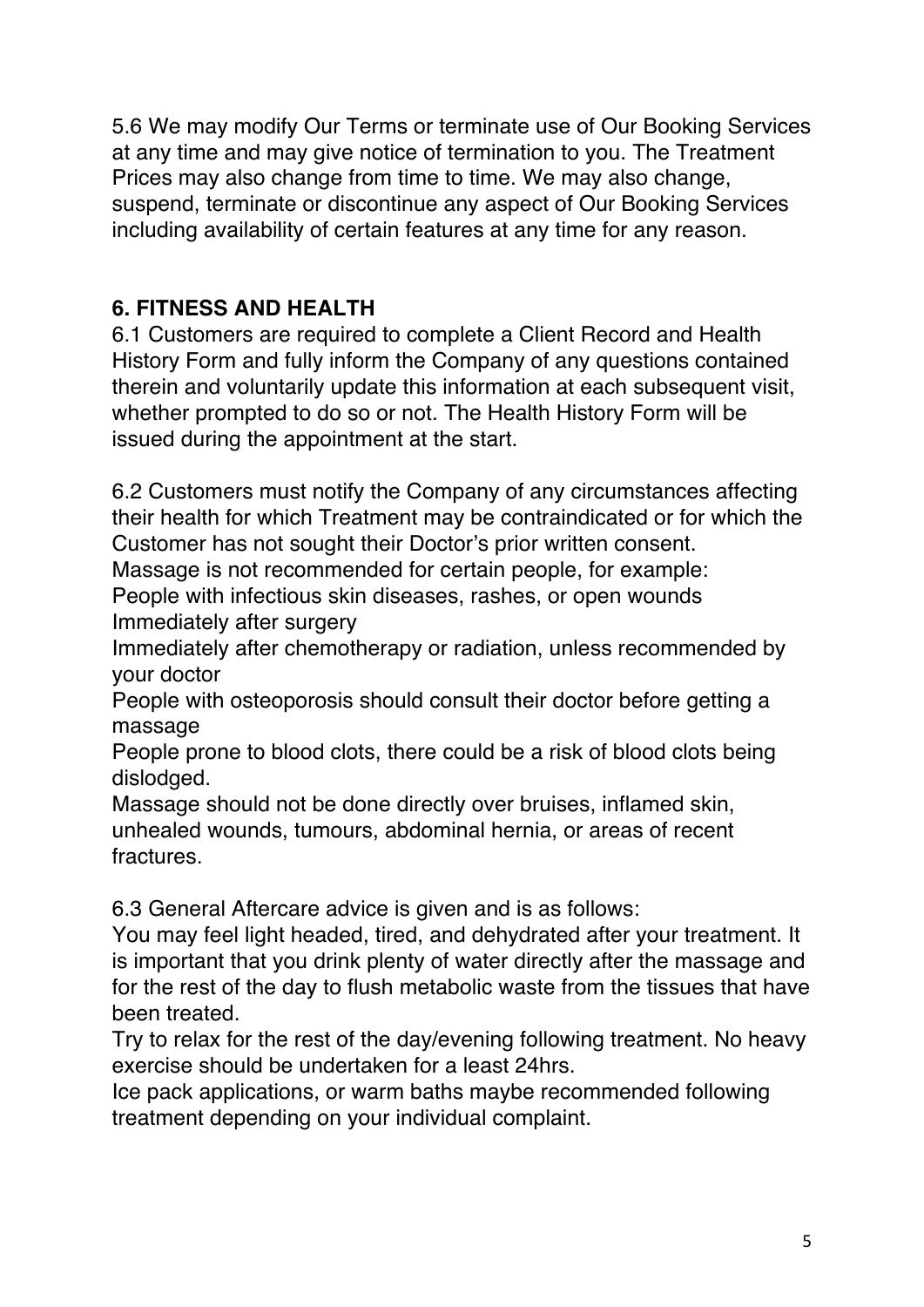5.6 We may modify Our Terms or terminate use of Our Booking Services at any time and may give notice of termination to you. The Treatment Prices may also change from time to time. We may also change, suspend, terminate or discontinue any aspect of Our Booking Services including availability of certain features at any time for any reason.

## **6. FITNESS AND HEALTH**

6.1 Customers are required to complete a Client Record and Health History Form and fully inform the Company of any questions contained therein and voluntarily update this information at each subsequent visit, whether prompted to do so or not. The Health History Form will be issued during the appointment at the start.

6.2 Customers must notify the Company of any circumstances affecting their health for which Treatment may be contraindicated or for which the Customer has not sought their Doctor's prior written consent.

Massage is not recommended for certain people, for example:

People with infectious skin diseases, rashes, or open wounds Immediately after surgery

Immediately after chemotherapy or radiation, unless recommended by your doctor

People with osteoporosis should consult their doctor before getting a massage

People prone to blood clots, there could be a risk of blood clots being dislodged.

Massage should not be done directly over bruises, inflamed skin, unhealed wounds, tumours, abdominal hernia, or areas of recent fractures.

6.3 General Aftercare advice is given and is as follows:

You may feel light headed, tired, and dehydrated after your treatment. It is important that you drink plenty of water directly after the massage and for the rest of the day to flush metabolic waste from the tissues that have been treated.

Try to relax for the rest of the day/evening following treatment. No heavy exercise should be undertaken for a least 24hrs.

Ice pack applications, or warm baths maybe recommended following treatment depending on your individual complaint.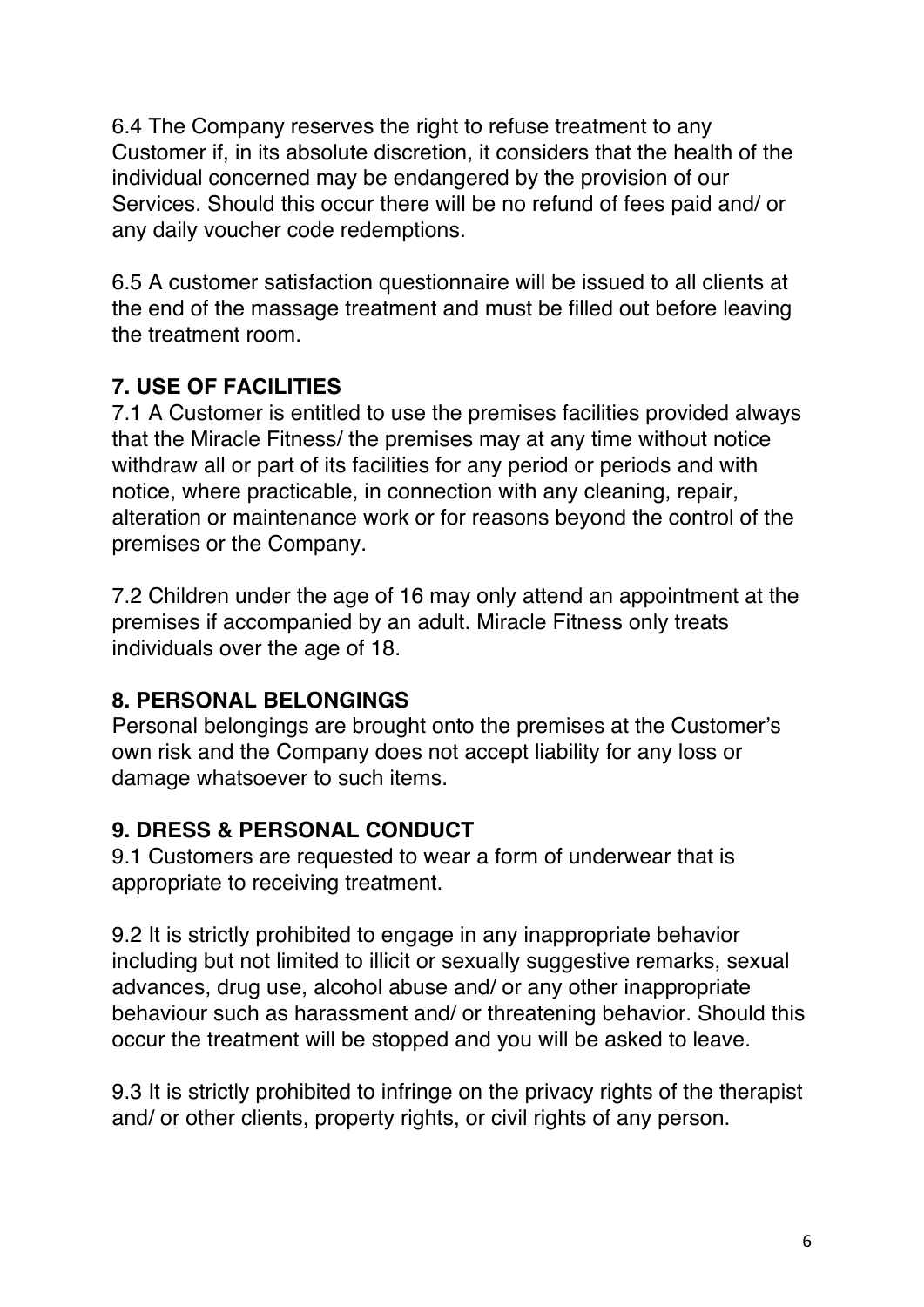6.4 The Company reserves the right to refuse treatment to any Customer if, in its absolute discretion, it considers that the health of the individual concerned may be endangered by the provision of our Services. Should this occur there will be no refund of fees paid and/ or any daily voucher code redemptions.

6.5 A customer satisfaction questionnaire will be issued to all clients at the end of the massage treatment and must be filled out before leaving the treatment room.

#### **7. USE OF FACILITIES**

7.1 A Customer is entitled to use the premises facilities provided always that the Miracle Fitness/ the premises may at any time without notice withdraw all or part of its facilities for any period or periods and with notice, where practicable, in connection with any cleaning, repair, alteration or maintenance work or for reasons beyond the control of the premises or the Company.

7.2 Children under the age of 16 may only attend an appointment at the premises if accompanied by an adult. Miracle Fitness only treats individuals over the age of 18.

## **8. PERSONAL BELONGINGS**

Personal belongings are brought onto the premises at the Customer's own risk and the Company does not accept liability for any loss or damage whatsoever to such items.

#### **9. DRESS & PERSONAL CONDUCT**

9.1 Customers are requested to wear a form of underwear that is appropriate to receiving treatment.

9.2 It is strictly prohibited to engage in any inappropriate behavior including but not limited to illicit or sexually suggestive remarks, sexual advances, drug use, alcohol abuse and/ or any other inappropriate behaviour such as harassment and/ or threatening behavior. Should this occur the treatment will be stopped and you will be asked to leave.

9.3 It is strictly prohibited to infringe on the privacy rights of the therapist and/ or other clients, property rights, or civil rights of any person.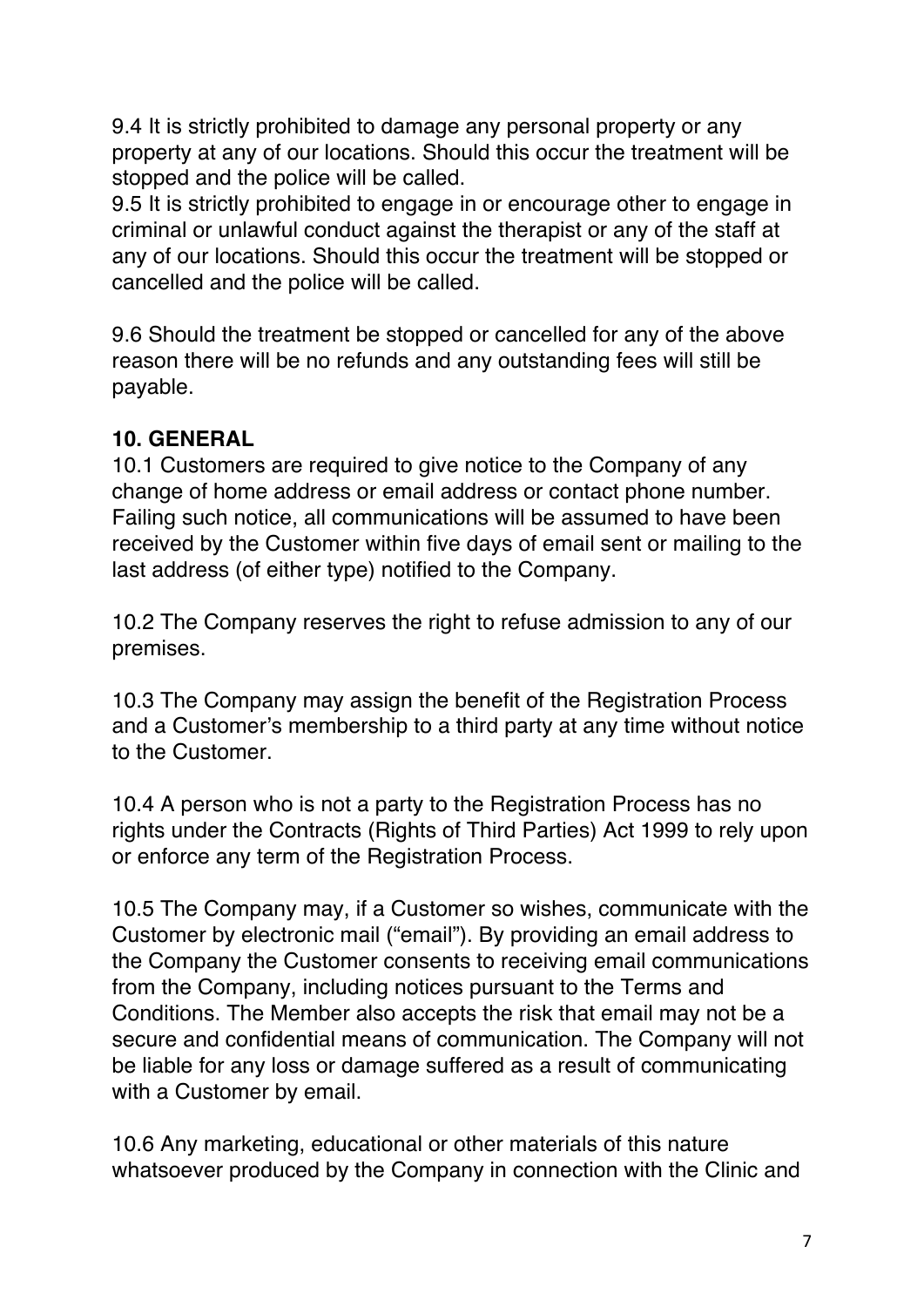9.4 It is strictly prohibited to damage any personal property or any property at any of our locations. Should this occur the treatment will be stopped and the police will be called.

9.5 It is strictly prohibited to engage in or encourage other to engage in criminal or unlawful conduct against the therapist or any of the staff at any of our locations. Should this occur the treatment will be stopped or cancelled and the police will be called.

9.6 Should the treatment be stopped or cancelled for any of the above reason there will be no refunds and any outstanding fees will still be payable.

#### **10. GENERAL**

10.1 Customers are required to give notice to the Company of any change of home address or email address or contact phone number. Failing such notice, all communications will be assumed to have been received by the Customer within five days of email sent or mailing to the last address (of either type) notified to the Company.

10.2 The Company reserves the right to refuse admission to any of our premises.

10.3 The Company may assign the benefit of the Registration Process and a Customer's membership to a third party at any time without notice to the Customer.

10.4 A person who is not a party to the Registration Process has no rights under the Contracts (Rights of Third Parties) Act 1999 to rely upon or enforce any term of the Registration Process.

10.5 The Company may, if a Customer so wishes, communicate with the Customer by electronic mail ("email"). By providing an email address to the Company the Customer consents to receiving email communications from the Company, including notices pursuant to the Terms and Conditions. The Member also accepts the risk that email may not be a secure and confidential means of communication. The Company will not be liable for any loss or damage suffered as a result of communicating with a Customer by email.

10.6 Any marketing, educational or other materials of this nature whatsoever produced by the Company in connection with the Clinic and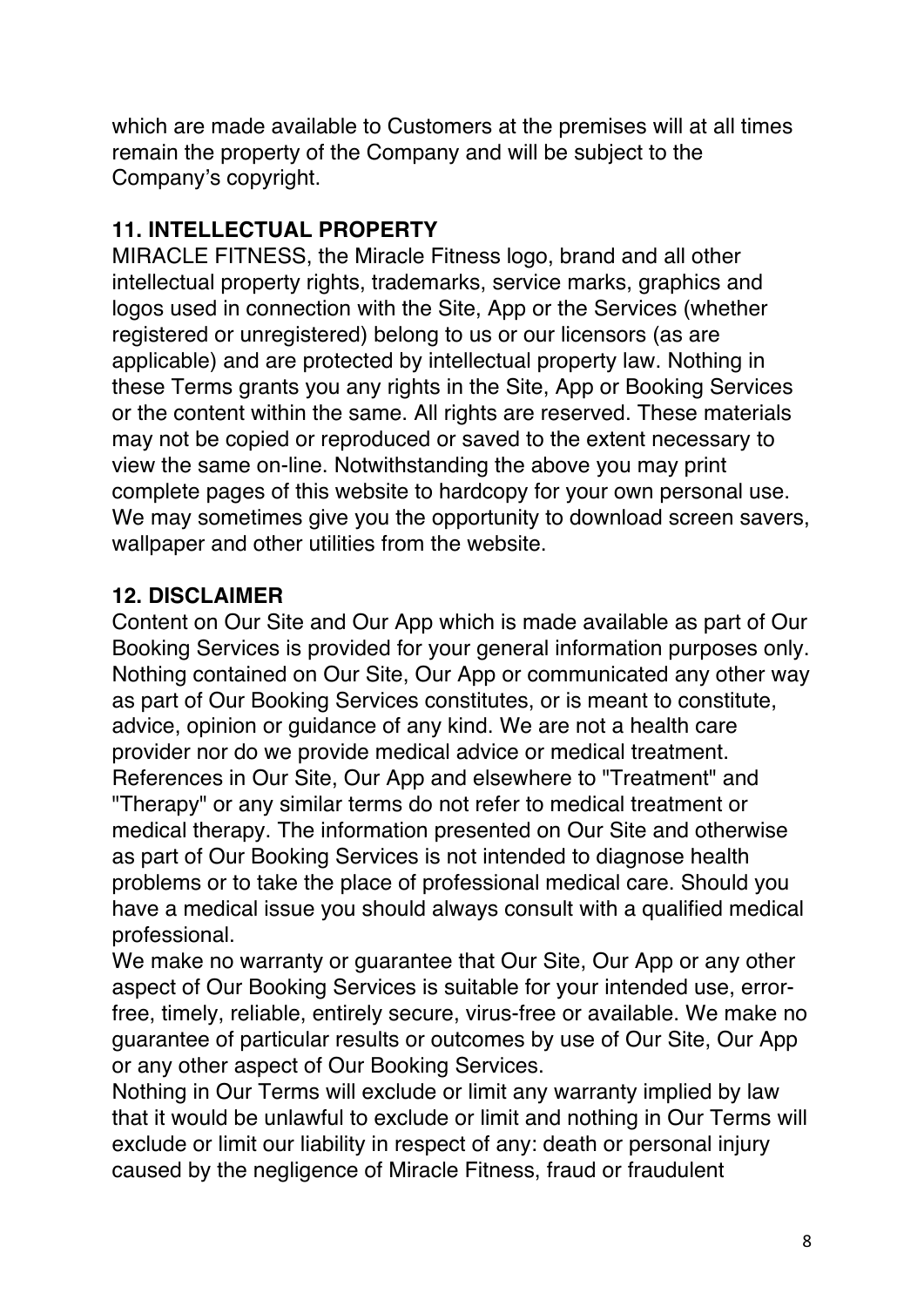which are made available to Customers at the premises will at all times remain the property of the Company and will be subject to the Company's copyright.

# **11. INTELLECTUAL PROPERTY**

MIRACLE FITNESS, the Miracle Fitness logo, brand and all other intellectual property rights, trademarks, service marks, graphics and logos used in connection with the Site, App or the Services (whether registered or unregistered) belong to us or our licensors (as are applicable) and are protected by intellectual property law. Nothing in these Terms grants you any rights in the Site, App or Booking Services or the content within the same. All rights are reserved. These materials may not be copied or reproduced or saved to the extent necessary to view the same on-line. Notwithstanding the above you may print complete pages of this website to hardcopy for your own personal use. We may sometimes give you the opportunity to download screen savers, wallpaper and other utilities from the website.

# **12. DISCLAIMER**

Content on Our Site and Our App which is made available as part of Our Booking Services is provided for your general information purposes only. Nothing contained on Our Site, Our App or communicated any other way as part of Our Booking Services constitutes, or is meant to constitute, advice, opinion or guidance of any kind. We are not a health care provider nor do we provide medical advice or medical treatment. References in Our Site, Our App and elsewhere to "Treatment" and "Therapy" or any similar terms do not refer to medical treatment or medical therapy. The information presented on Our Site and otherwise as part of Our Booking Services is not intended to diagnose health problems or to take the place of professional medical care. Should you have a medical issue you should always consult with a qualified medical professional.

We make no warranty or guarantee that Our Site, Our App or any other aspect of Our Booking Services is suitable for your intended use, errorfree, timely, reliable, entirely secure, virus-free or available. We make no guarantee of particular results or outcomes by use of Our Site, Our App or any other aspect of Our Booking Services.

Nothing in Our Terms will exclude or limit any warranty implied by law that it would be unlawful to exclude or limit and nothing in Our Terms will exclude or limit our liability in respect of any: death or personal injury caused by the negligence of Miracle Fitness, fraud or fraudulent